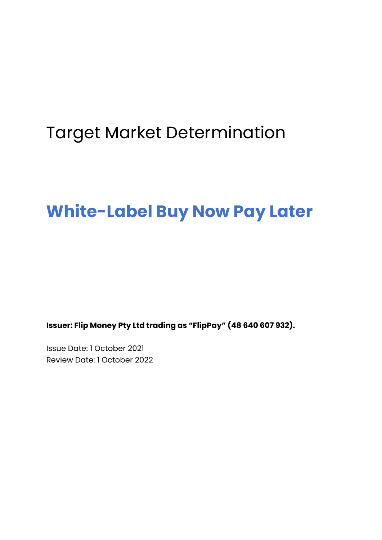# Target Market Determination

# **White-Label Buy Now Pay Later**

**Issuer: Flip Money Pty Ltd trading as "FlipPay" (48 640 607 932).**

Issue Date: 1 October 2021 Review Date: 1 October 2022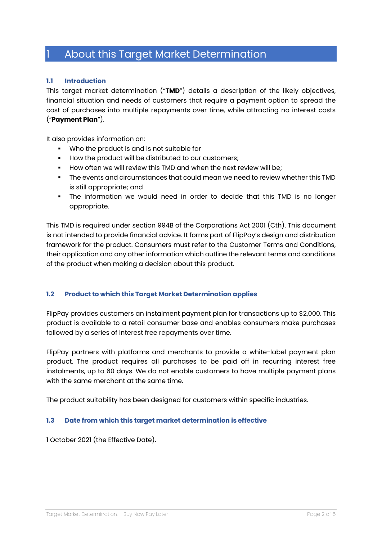## 1 About this Target Market Determination

#### **1.1 Introduction**

This target market determination ("**TMD**") details a description of the likely objectives, financial situation and needs of customers that require a payment option to spread the cost of purchases into multiple repayments over time, while attracting no interest costs ("**Payment Plan**").

It also provides information on:

- § Who the product is and is not suitable for
- **How the product will be distributed to our customers;**
- § How often we will review this TMD and when the next review will be;
- § The events and circumstances that could mean we need to review whether this TMD is still appropriate; and
- The information we would need in order to decide that this TMD is no longer appropriate.

This TMD is required under section 994B of the Corporations Act 2001 (Cth). This document is not intended to provide financial advice. It forms part of FlipPay's design and distribution framework for the product. Consumers must refer to the Customer Terms and Conditions, their application and any other information which outline the relevant terms and conditions of the product when making a decision about this product.

#### **1.2 Product to which this Target Market Determination applies**

FlipPay provides customers an instalment payment plan for transactions up to \$2,000. This product is available to a retail consumer base and enables consumers make purchases followed by a series of interest free repayments over time.

FlipPay partners with platforms and merchants to provide a white-label payment plan product. The product requires all purchases to be paid off in recurring interest free instalments, up to 60 days. We do not enable customers to have multiple payment plans with the same merchant at the same time.

The product suitability has been designed for customers within specific industries.

#### **1.3 Date from which this target market determination is effective**

1 October 2021 (the Effective Date).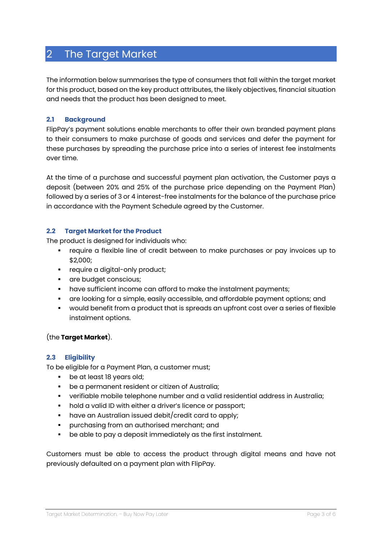## 2 The Target Market

The information below summarises the type of consumers that fall within the target market for this product, based on the key product attributes, the likely objectives, financial situation and needs that the product has been designed to meet.

#### **2.1 Background**

FlipPay's payment solutions enable merchants to offer their own branded payment plans to their consumers to make purchase of goods and services and defer the payment for these purchases by spreading the purchase price into a series of interest fee instalments over time.

At the time of a purchase and successful payment plan activation, the Customer pays a deposit (between 20% and 25% of the purchase price depending on the Payment Plan) followed by a series of 3 or 4 interest-free instalments for the balance of the purchase price in accordance with the Payment Schedule agreed by the Customer.

#### **2.2 Target Market for the Product**

The product is designed for individuals who:

- require a flexible line of credit between to make purchases or pay invoices up to \$2,000;
- **•** require a digital-only product;
- **•** are budget conscious;
- **•** have sufficient income can afford to make the instalment payments;
- § are looking for a simple, easily accessible, and affordable payment options; and
- would benefit from a product that is spreads an upfront cost over a series of flexible instalment options.

#### (the **Target Market**).

#### **2.3 Eligibility**

To be eligible for a Payment Plan, a customer must;

- be at least 18 years old;
- be a permanent resident or citizen of Australia;
- verifiable mobile telephone number and a valid residential address in Australia;
- **•** hold a valid ID with either a driver's licence or passport;
- have an Australian issued debit/credit card to apply;
- § purchasing from an authorised merchant; and
- be able to pay a deposit immediately as the first instalment.

Customers must be able to access the product through digital means and have not previously defaulted on a payment plan with FlipPay.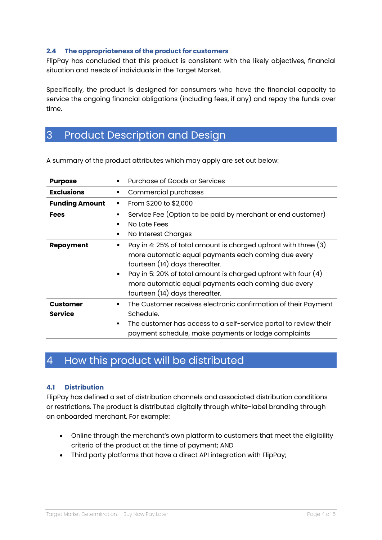#### **2.4 The appropriateness of the product for customers**

FlipPay has concluded that this product is consistent with the likely objectives, financial situation and needs of individuals in the Target Market.

Specifically, the product is designed for consumers who have the financial capacity to service the ongoing financial obligations (including fees, if any) and repay the funds over time.

## 3 Product Description and Design

| <b>Purpose</b>                    | <b>Purchase of Goods or Services</b>                                                                                                                                                                                                                                                                                     |
|-----------------------------------|--------------------------------------------------------------------------------------------------------------------------------------------------------------------------------------------------------------------------------------------------------------------------------------------------------------------------|
| <b>Exclusions</b>                 | Commercial purchases<br>٠                                                                                                                                                                                                                                                                                                |
| <b>Funding Amount</b>             | From \$200 to \$2,000<br>٠                                                                                                                                                                                                                                                                                               |
| <b>Fees</b>                       | Service Fee (Option to be paid by merchant or end customer)<br>٠<br>No Late Fees<br>п<br>No Interest Charges<br>٠                                                                                                                                                                                                        |
| <b>Repayment</b>                  | Pay in 4: 25% of total amount is charged upfront with three (3)<br>more automatic equal payments each coming due every<br>fourteen (14) days thereafter.<br>Pay in 5: 20% of total amount is charged upfront with four (4)<br>٠<br>more automatic equal payments each coming due every<br>fourteen (14) days thereafter. |
| <b>Customer</b><br><b>Service</b> | The Customer receives electronic confirmation of their Payment<br>٠<br>Schedule.<br>The customer has access to a self-service portal to review their<br>٠<br>payment schedule, make payments or lodge complaints                                                                                                         |

A summary of the product attributes which may apply are set out below:

## 4 How this product will be distributed

#### **4.1 Distribution**

FlipPay has defined a set of distribution channels and associated distribution conditions or restrictions. The product is distributed digitally through white-label branding through an onboarded merchant. For example:

- Online through the merchant's own platform to customers that meet the eligibility criteria of the product at the time of payment; AND
- Third party platforms that have a direct API integration with FlipPay;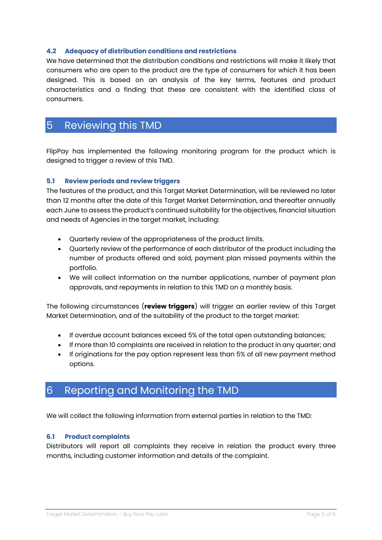#### **4.2 Adequacy of distribution conditions and restrictions**

We have determined that the distribution conditions and restrictions will make it likely that consumers who are open to the product are the type of consumers for which it has been designed. This is based on an analysis of the key terms, features and product characteristics and a finding that these are consistent with the identified class of consumers.

## 5 Reviewing this TMD

FlipPay has implemented the following monitoring program for the product which is designed to trigger a review of this TMD.

#### **5.1 Review periods and review triggers**

The features of the product, and this Target Market Determination, will be reviewed no later than 12 months after the date of this Target Market Determination, and thereafter annually each June to assess the product's continued suitability for the objectives, financial situation and needs of Agencies in the target market, including:

- Quarterly review of the appropriateness of the product limits.
- Quarterly review of the performance of each distributor of the product including the number of products offered and sold, payment plan missed payments within the portfolio.
- We will collect information on the number applications, number of payment plan approvals, and repayments in relation to this TMD on a monthly basis.

The following circumstances (**review triggers**) will trigger an earlier review of this Target Market Determination, and of the suitability of the product to the target market:

- If overdue account balances exceed 5% of the total open outstanding balances;
- If more than 10 complaints are received in relation to the product in any quarter; and
- If originations for the pay option represent less than 5% of all new payment method options.

### 6 Reporting and Monitoring the TMD

We will collect the following information from external parties in relation to the TMD:

#### **6.1 Product complaints**

Distributors will report all complaints they receive in relation the product every three months, including customer information and details of the complaint.